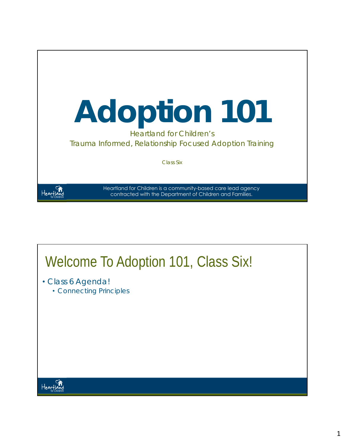

## Welcome To Adoption 101, Class Six!

- Class 6 Agenda!
	- Connecting Principles

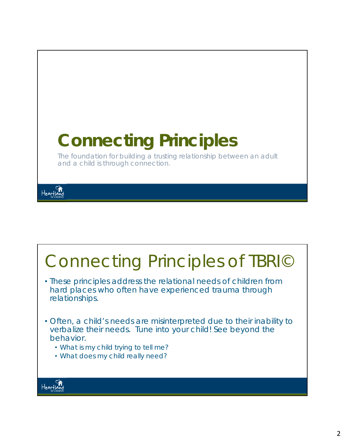

#### Connecting Principles of TBRI© • These principles address the relational needs of children from hard places who often have experienced trauma through relationships. • Often, a child's needs are misinterpreted due to their inability to verbalize their needs. Tune into your child! See beyond the behavior. • What is my child trying to tell me? • What does my child really need?Heartig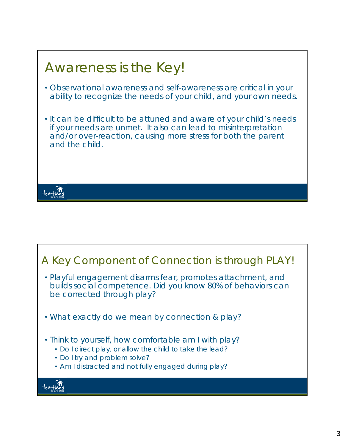

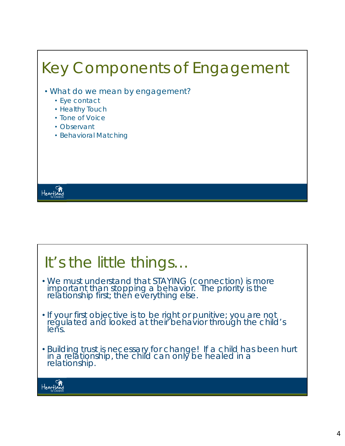## Key Components of Engagement • What do we mean by *engagement*? • Eye contact • Healthy Touch • Tone of Voice • Observant • Behavioral Matching Heartland

### It's the little things…

- We must understand that STAYING (connection) is more important than stopping a behavior. The priority is the<br>relationship first; then everything else.
- If your first objective is to be right or punitive; you are not regulated and looked at their behavior through the child's lens.
- Building trust is necessary for change! If a child has been hurt in a relationship, the child can only be healed in a<br>relationship.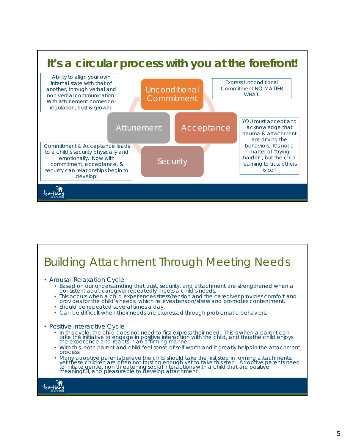

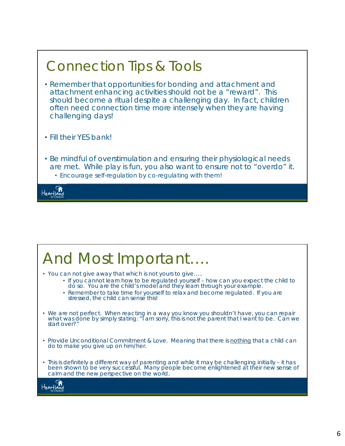

# And Most Important….

- You can not give away that which is not yours to give…..
	- If you cannot learn how to be regulated yourself how can you expect the child to do so. You are the child's model and they learn through your example.
	- Remember to take time for yourself to relax and become regulated. If you are stressed, the child can sense this!
- We are not perfect. When reacting in a way you know you shouldn't have, you can repair what was done by simply stating: "I am sorry, this is not the parent that I want to be. Can we start over?"
- Provide Unconditional Commitment & Love. Meaning that there is *nothing* that a child can do to make you give up on him/her.
- This is definitely a different way of parenting and while it may be challenging initially it has been shown to be very successful. Many people become enlightened at their new sense of calm and the new perspective on the world.

Heartia